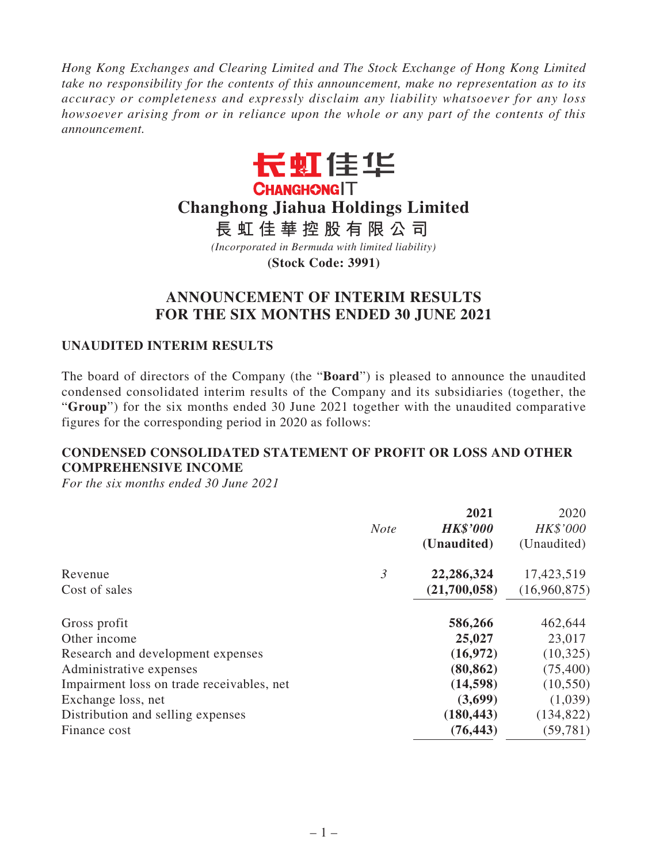*Hong Kong Exchanges and Clearing Limited and The Stock Exchange of Hong Kong Limited take no responsibility for the contents of this announcement, make no representation as to its accuracy or completeness and expressly disclaim any liability whatsoever for any loss howsoever arising from or in reliance upon the whole or any part of the contents of this announcement.*



# **Changhong Jiahua Holdings Limited**

**長虹佳華控股有限公司**

*(Incorporated in Bermuda with limited liability)*

**(Stock Code: 3991)**

# **ANNOUNCEMENT OF INTERIM RESULTS FOR THE SIX MONTHS ENDED 30 JUNE 2021**

### **UNAUDITED INTERIM RESULTS**

The board of directors of the Company (the "**Board**") is pleased to announce the unaudited condensed consolidated interim results of the Company and its subsidiaries (together, the "**Group**") for the six months ended 30 June 2021 together with the unaudited comparative figures for the corresponding period in 2020 as follows:

### **CONDENSED CONSOLIDATED STATEMENT OF PROFIT OR LOSS AND OTHER COMPREHENSIVE INCOME**

*For the six months ended 30 June 2021*

|                                           |                | 2021            | 2020         |
|-------------------------------------------|----------------|-----------------|--------------|
|                                           | <b>Note</b>    | <b>HK\$'000</b> | HK\$'000     |
|                                           |                | (Unaudited)     | (Unaudited)  |
| Revenue                                   | $\mathfrak{Z}$ | 22,286,324      | 17,423,519   |
| Cost of sales                             |                | (21,700,058)    | (16,960,875) |
| Gross profit                              |                | 586,266         | 462,644      |
| Other income                              |                | 25,027          | 23,017       |
| Research and development expenses         |                | (16,972)        | (10, 325)    |
| Administrative expenses                   |                | (80, 862)       | (75,400)     |
| Impairment loss on trade receivables, net |                | (14, 598)       | (10, 550)    |
| Exchange loss, net                        |                | (3,699)         | (1,039)      |
| Distribution and selling expenses         |                | (180, 443)      | (134, 822)   |
| Finance cost                              |                | (76, 443)       | (59, 781)    |
|                                           |                |                 |              |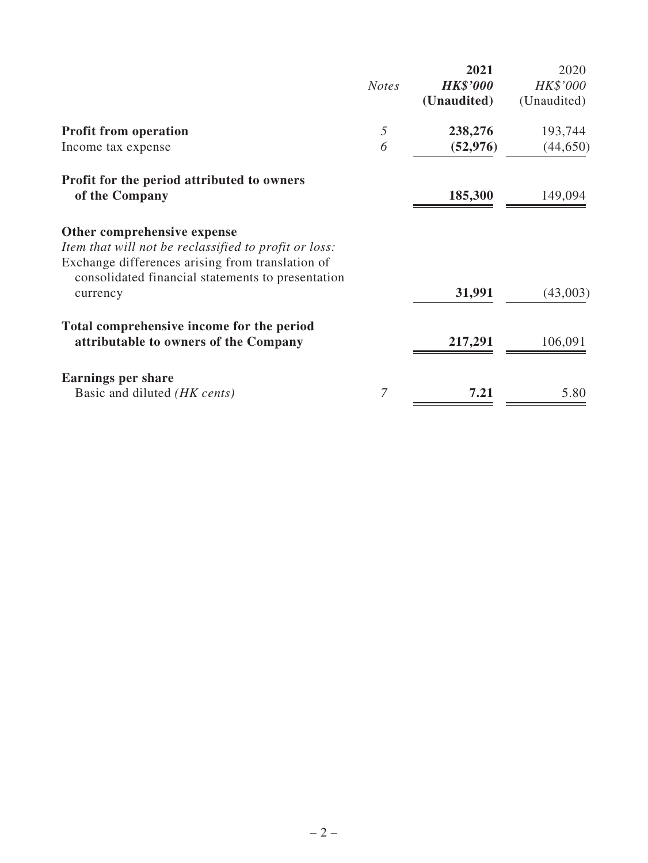|                                                                                                           | <b>Notes</b> | 2021<br><b>HK\$'000</b> | 2020<br>HK\$'000 |
|-----------------------------------------------------------------------------------------------------------|--------------|-------------------------|------------------|
|                                                                                                           |              | (Unaudited)             | (Unaudited)      |
| <b>Profit from operation</b>                                                                              | 5            | 238,276                 | 193,744          |
| Income tax expense                                                                                        | 6            | (52, 976)               | (44, 650)        |
| Profit for the period attributed to owners                                                                |              |                         |                  |
| of the Company                                                                                            |              | 185,300                 | 149,094          |
| Other comprehensive expense                                                                               |              |                         |                  |
| Item that will not be reclassified to profit or loss:<br>Exchange differences arising from translation of |              |                         |                  |
| consolidated financial statements to presentation                                                         |              |                         |                  |
| currency                                                                                                  |              | 31,991                  | (43,003)         |
| Total comprehensive income for the period                                                                 |              |                         |                  |
| attributable to owners of the Company                                                                     |              | 217,291                 | 106,091          |
| <b>Earnings per share</b>                                                                                 |              |                         |                  |
| Basic and diluted (HK cents)                                                                              | 7            | 7.21                    | 5.80             |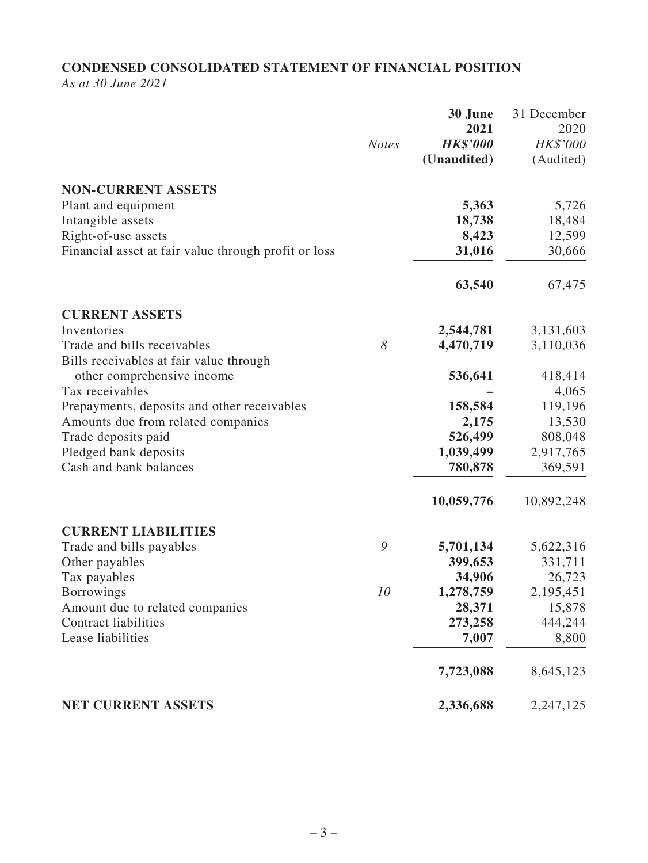# **CONDENSED CONSOLIDATED STATEMENT OF FINANCIAL POSITION**

*As at 30 June 2021*

|                                                      | <b>Notes</b> | 30 June<br>2021<br><b>HK\$'000</b><br>(Unaudited) | 31 December<br>2020<br>HK\$'000<br>(Audited) |
|------------------------------------------------------|--------------|---------------------------------------------------|----------------------------------------------|
| <b>NON-CURRENT ASSETS</b>                            |              |                                                   |                                              |
| Plant and equipment                                  |              | 5,363                                             | 5,726                                        |
| Intangible assets                                    |              | 18,738                                            | 18,484                                       |
| Right-of-use assets                                  |              | 8,423                                             | 12,599                                       |
| Financial asset at fair value through profit or loss |              | 31,016                                            | 30,666                                       |
|                                                      |              | 63,540                                            | 67,475                                       |
| <b>CURRENT ASSETS</b>                                |              |                                                   |                                              |
| Inventories                                          |              | 2,544,781                                         | 3,131,603                                    |
| Trade and bills receivables                          | 8            | 4,470,719                                         | 3,110,036                                    |
| Bills receivables at fair value through              |              |                                                   |                                              |
| other comprehensive income                           |              | 536,641                                           | 418,414                                      |
| Tax receivables                                      |              |                                                   | 4,065                                        |
| Prepayments, deposits and other receivables          |              | 158,584                                           | 119,196                                      |
| Amounts due from related companies                   |              | 2,175                                             | 13,530                                       |
| Trade deposits paid                                  |              | 526,499                                           | 808,048                                      |
| Pledged bank deposits                                |              | 1,039,499                                         | 2,917,765                                    |
| Cash and bank balances                               |              | 780,878                                           | 369,591                                      |
|                                                      |              | 10,059,776                                        | 10,892,248                                   |
| <b>CURRENT LIABILITIES</b>                           |              |                                                   |                                              |
| Trade and bills payables                             | 9            | 5,701,134                                         | 5,622,316                                    |
| Other payables                                       |              | 399,653                                           | 331,711                                      |
| Tax payables                                         |              | 34,906                                            | 26,723                                       |
| <b>Borrowings</b>                                    | 10           | 1,278,759                                         | 2,195,451                                    |
| Amount due to related companies                      |              | 28,371                                            | 15,878                                       |
| <b>Contract liabilities</b>                          |              | 273,258                                           | 444,244                                      |
| Lease liabilities                                    |              | 7,007                                             | 8,800                                        |
|                                                      |              | 7,723,088                                         | 8,645,123                                    |
| <b>NET CURRENT ASSETS</b>                            |              | 2,336,688                                         | 2,247,125                                    |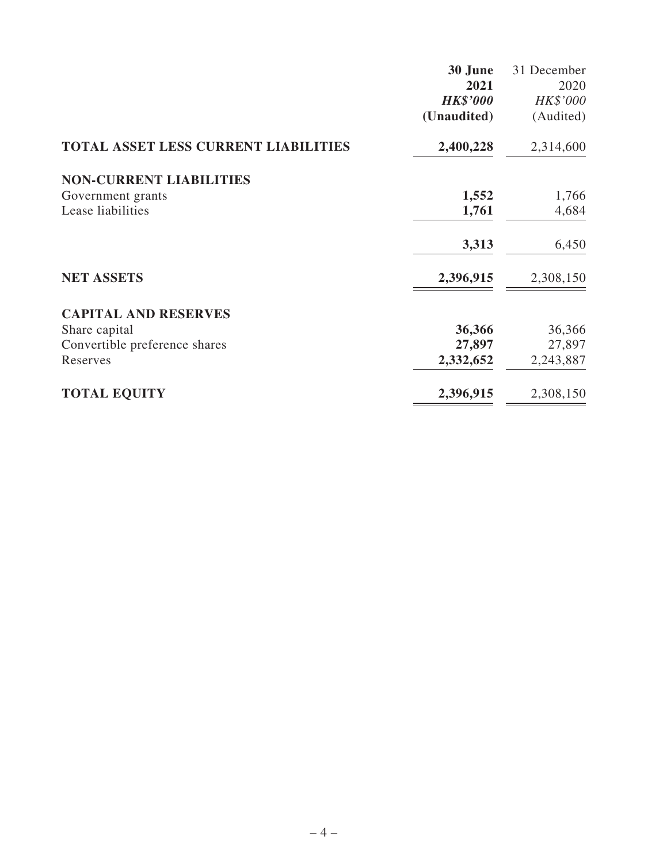| 30 June         | 31 December |
|-----------------|-------------|
| 2021            | 2020        |
| <b>HK\$'000</b> | HK\$'000    |
| (Unaudited)     | (Audited)   |
| 2,400,228       | 2,314,600   |
|                 |             |
| 1,552           | 1,766       |
| 1,761           | 4,684       |
| 3,313           | 6,450       |
| 2,396,915       | 2,308,150   |
|                 |             |
|                 | 36,366      |
| 27,897          | 27,897      |
| 2,332,652       | 2,243,887   |
| 2,396,915       | 2,308,150   |
|                 | 36,366      |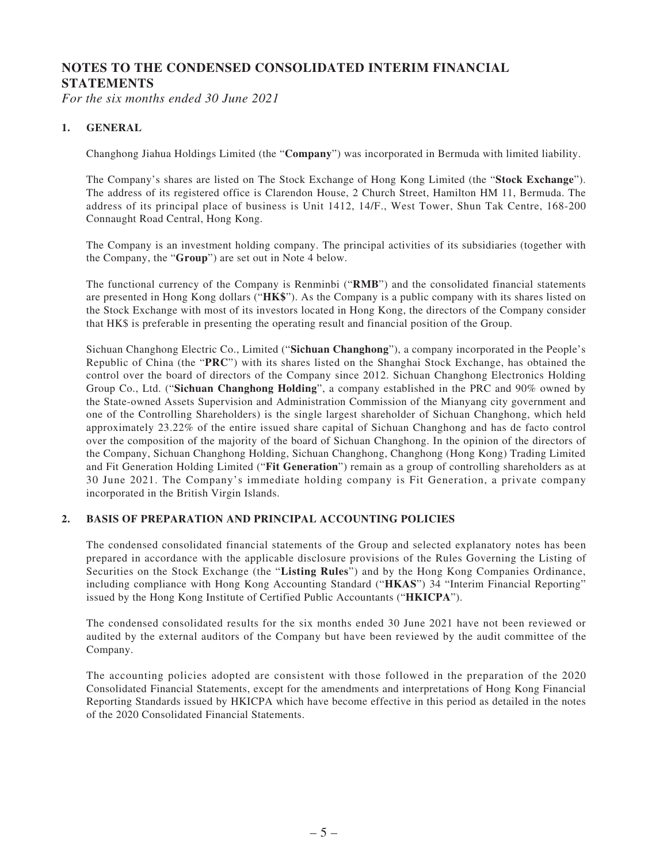### **NOTES TO THE CONDENSED CONSOLIDATED INTERIM FINANCIAL STATEMENTS**

*For the six months ended 30 June 2021*

#### **1. GENERAL**

Changhong Jiahua Holdings Limited (the "**Company**") was incorporated in Bermuda with limited liability.

The Company's shares are listed on The Stock Exchange of Hong Kong Limited (the "**Stock Exchange**"). The address of its registered office is Clarendon House, 2 Church Street, Hamilton HM 11, Bermuda. The address of its principal place of business is Unit 1412, 14/F., West Tower, Shun Tak Centre, 168-200 Connaught Road Central, Hong Kong.

The Company is an investment holding company. The principal activities of its subsidiaries (together with the Company, the "**Group**") are set out in Note 4 below.

The functional currency of the Company is Renminbi ("**RMB**") and the consolidated financial statements are presented in Hong Kong dollars ("**HK\$**"). As the Company is a public company with its shares listed on the Stock Exchange with most of its investors located in Hong Kong, the directors of the Company consider that HK\$ is preferable in presenting the operating result and financial position of the Group.

Sichuan Changhong Electric Co., Limited ("**Sichuan Changhong**"), a company incorporated in the People's Republic of China (the "**PRC**") with its shares listed on the Shanghai Stock Exchange, has obtained the control over the board of directors of the Company since 2012. Sichuan Changhong Electronics Holding Group Co., Ltd. ("**Sichuan Changhong Holding**", a company established in the PRC and 90% owned by the State-owned Assets Supervision and Administration Commission of the Mianyang city government and one of the Controlling Shareholders) is the single largest shareholder of Sichuan Changhong, which held approximately 23.22% of the entire issued share capital of Sichuan Changhong and has de facto control over the composition of the majority of the board of Sichuan Changhong. In the opinion of the directors of the Company, Sichuan Changhong Holding, Sichuan Changhong, Changhong (Hong Kong) Trading Limited and Fit Generation Holding Limited ("**Fit Generation**") remain as a group of controlling shareholders as at 30 June 2021. The Company's immediate holding company is Fit Generation, a private company incorporated in the British Virgin Islands.

#### **2. BASIS OF PREPARATION AND PRINCIPAL ACCOUNTING POLICIES**

The condensed consolidated financial statements of the Group and selected explanatory notes has been prepared in accordance with the applicable disclosure provisions of the Rules Governing the Listing of Securities on the Stock Exchange (the "**Listing Rules**") and by the Hong Kong Companies Ordinance, including compliance with Hong Kong Accounting Standard ("**HKAS**") 34 "Interim Financial Reporting" issued by the Hong Kong Institute of Certified Public Accountants ("**HKICPA**").

The condensed consolidated results for the six months ended 30 June 2021 have not been reviewed or audited by the external auditors of the Company but have been reviewed by the audit committee of the Company.

The accounting policies adopted are consistent with those followed in the preparation of the 2020 Consolidated Financial Statements, except for the amendments and interpretations of Hong Kong Financial Reporting Standards issued by HKICPA which have become effective in this period as detailed in the notes of the 2020 Consolidated Financial Statements.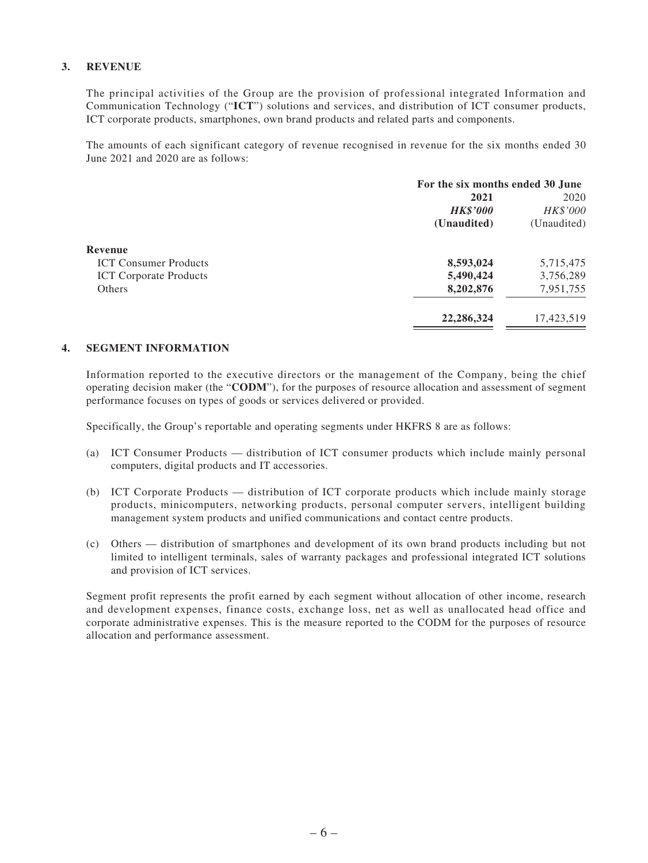#### **3. REVENUE**

The principal activities of the Group are the provision of professional integrated Information and Communication Technology ("**ICT**") solutions and services, and distribution of ICT consumer products, ICT corporate products, smartphones, own brand products and related parts and components.

The amounts of each significant category of revenue recognised in revenue for the six months ended 30 June 2021 and 2020 are as follows:

|                               | For the six months ended 30 June |             |  |
|-------------------------------|----------------------------------|-------------|--|
|                               | 2021                             |             |  |
|                               | <b>HK\$'000</b>                  | HK\$'000    |  |
|                               | (Unaudited)                      | (Unaudited) |  |
| Revenue                       |                                  |             |  |
| <b>ICT Consumer Products</b>  | 8,593,024                        | 5,715,475   |  |
| <b>ICT</b> Corporate Products | 5,490,424                        | 3,756,289   |  |
| Others                        | 8,202,876                        | 7,951,755   |  |
|                               | 22,286,324                       | 17,423,519  |  |

#### **4. SEGMENT INFORMATION**

Information reported to the executive directors or the management of the Company, being the chief operating decision maker (the "**CODM**"), for the purposes of resource allocation and assessment of segment performance focuses on types of goods or services delivered or provided.

Specifically, the Group's reportable and operating segments under HKFRS 8 are as follows:

- (a) ICT Consumer Products distribution of ICT consumer products which include mainly personal computers, digital products and IT accessories.
- (b) ICT Corporate Products distribution of ICT corporate products which include mainly storage products, minicomputers, networking products, personal computer servers, intelligent building management system products and unified communications and contact centre products.
- (c) Others distribution of smartphones and development of its own brand products including but not limited to intelligent terminals, sales of warranty packages and professional integrated ICT solutions and provision of ICT services.

Segment profit represents the profit earned by each segment without allocation of other income, research and development expenses, finance costs, exchange loss, net as well as unallocated head office and corporate administrative expenses. This is the measure reported to the CODM for the purposes of resource allocation and performance assessment.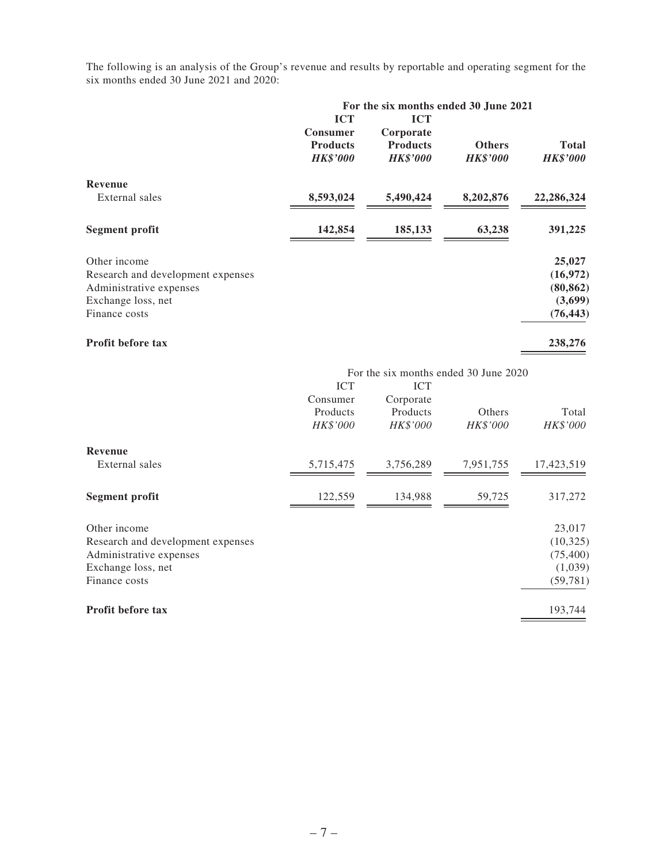The following is an analysis of the Group's revenue and results by reportable and operating segment for the six months ended 30 June 2021 and 2020:

|                                   |                 |                 | For the six months ended 30 June 2021 |                 |
|-----------------------------------|-----------------|-----------------|---------------------------------------|-----------------|
|                                   | <b>ICT</b>      | <b>ICT</b>      |                                       |                 |
|                                   | <b>Consumer</b> | Corporate       |                                       |                 |
|                                   | <b>Products</b> | <b>Products</b> | <b>Others</b>                         | <b>Total</b>    |
|                                   | <b>HK\$'000</b> | <b>HK\$'000</b> | <b>HK\$'000</b>                       | <b>HK\$'000</b> |
| Revenue                           |                 |                 |                                       |                 |
| External sales                    | 8,593,024       | 5,490,424       | 8,202,876                             | 22,286,324      |
| <b>Segment profit</b>             | 142,854         | 185,133         | 63,238                                | 391,225         |
| Other income                      |                 |                 |                                       | 25,027          |
| Research and development expenses |                 |                 |                                       | (16, 972)       |
| Administrative expenses           |                 |                 |                                       | (80, 862)       |
| Exchange loss, net                |                 |                 |                                       | (3,699)         |
| Finance costs                     |                 |                 |                                       | (76, 443)       |
| <b>Profit before tax</b>          |                 |                 |                                       | 238,276         |

|                                   |            |            | For the six months ended 30 June 2020 |            |
|-----------------------------------|------------|------------|---------------------------------------|------------|
|                                   | <b>ICT</b> | <b>ICT</b> |                                       |            |
|                                   | Consumer   | Corporate  |                                       |            |
|                                   | Products   | Products   | Others                                | Total      |
|                                   | HK\$'000   | HK\$'000   | HK\$'000                              | HK\$'000   |
| Revenue                           |            |            |                                       |            |
| External sales                    | 5,715,475  | 3,756,289  | 7,951,755                             | 17,423,519 |
| <b>Segment profit</b>             | 122,559    | 134,988    | 59,725                                | 317,272    |
| Other income                      |            |            |                                       | 23,017     |
| Research and development expenses |            |            |                                       | (10, 325)  |
| Administrative expenses           |            |            |                                       | (75, 400)  |
| Exchange loss, net                |            |            |                                       | (1,039)    |
| Finance costs                     |            |            |                                       | (59, 781)  |
| <b>Profit before tax</b>          |            |            |                                       | 193,744    |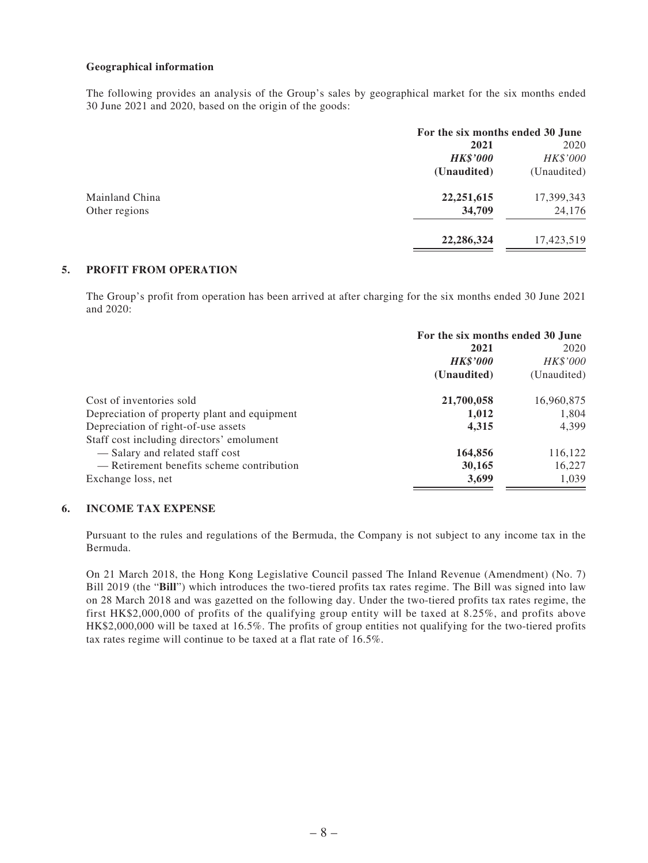#### **Geographical information**

The following provides an analysis of the Group's sales by geographical market for the six months ended 30 June 2021 and 2020, based on the origin of the goods:

|                | For the six months ended 30 June |             |  |
|----------------|----------------------------------|-------------|--|
|                | 2021                             | 2020        |  |
|                | <b>HK\$'000</b>                  | HK\$'000    |  |
|                | (Unaudited)                      | (Unaudited) |  |
| Mainland China | 22, 251, 615                     | 17,399,343  |  |
| Other regions  | 34,709                           | 24,176      |  |
|                | 22,286,324                       | 17,423,519  |  |

#### **5. PROFIT FROM OPERATION**

The Group's profit from operation has been arrived at after charging for the six months ended 30 June 2021 and 2020:

|                                              | For the six months ended 30 June |             |  |
|----------------------------------------------|----------------------------------|-------------|--|
|                                              | 2021                             |             |  |
|                                              | <b>HK\$'000</b>                  | HK\$'000    |  |
|                                              | (Unaudited)                      | (Unaudited) |  |
| Cost of inventories sold                     | 21,700,058                       | 16,960,875  |  |
| Depreciation of property plant and equipment | 1,012                            | 1,804       |  |
| Depreciation of right-of-use assets          | 4,315                            | 4,399       |  |
| Staff cost including directors' emolument    |                                  |             |  |
| -Salary and related staff cost               | 164,856                          | 116,122     |  |
| — Retirement benefits scheme contribution    | 30,165                           | 16,227      |  |
| Exchange loss, net                           | 3,699                            | 1,039       |  |

#### **6. INCOME TAX EXPENSE**

Pursuant to the rules and regulations of the Bermuda, the Company is not subject to any income tax in the Bermuda.

On 21 March 2018, the Hong Kong Legislative Council passed The Inland Revenue (Amendment) (No. 7) Bill 2019 (the "**Bill**") which introduces the two-tiered profits tax rates regime. The Bill was signed into law on 28 March 2018 and was gazetted on the following day. Under the two-tiered profits tax rates regime, the first HK\$2,000,000 of profits of the qualifying group entity will be taxed at 8.25%, and profits above HK\$2,000,000 will be taxed at 16.5%. The profits of group entities not qualifying for the two-tiered profits tax rates regime will continue to be taxed at a flat rate of 16.5%.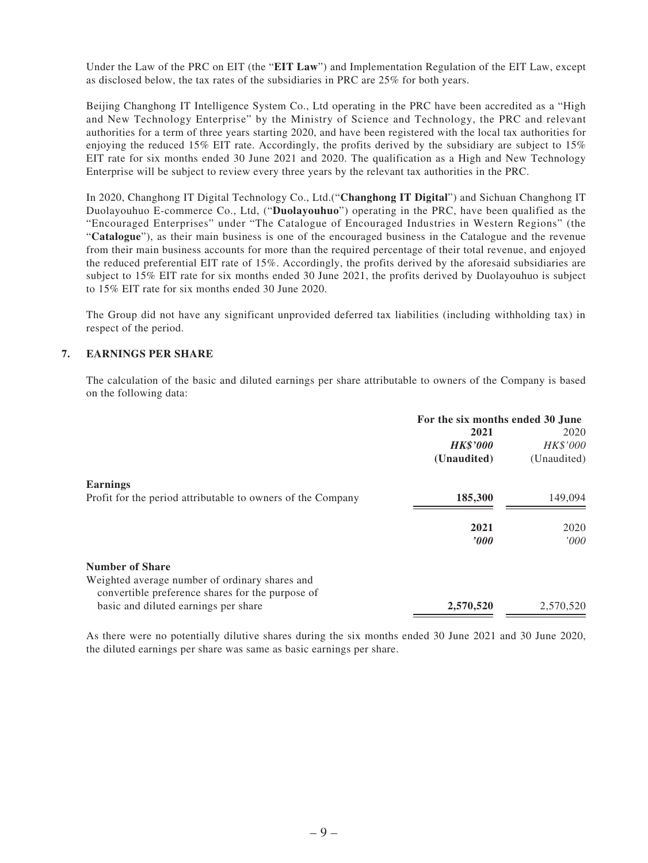Under the Law of the PRC on EIT (the "**EIT Law**") and Implementation Regulation of the EIT Law, except as disclosed below, the tax rates of the subsidiaries in PRC are 25% for both years.

Beijing Changhong IT Intelligence System Co., Ltd operating in the PRC have been accredited as a "High and New Technology Enterprise" by the Ministry of Science and Technology, the PRC and relevant authorities for a term of three years starting 2020, and have been registered with the local tax authorities for enjoying the reduced 15% EIT rate. Accordingly, the profits derived by the subsidiary are subject to 15% EIT rate for six months ended 30 June 2021 and 2020. The qualification as a High and New Technology Enterprise will be subject to review every three years by the relevant tax authorities in the PRC.

In 2020, Changhong IT Digital Technology Co., Ltd.("**Changhong IT Digital**") and Sichuan Changhong IT Duolayouhuo E-commerce Co., Ltd, ("**Duolayouhuo**") operating in the PRC, have been qualified as the "Encouraged Enterprises" under "The Catalogue of Encouraged Industries in Western Regions" (the "**Catalogue**"), as their main business is one of the encouraged business in the Catalogue and the revenue from their main business accounts for more than the required percentage of their total revenue, and enjoyed the reduced preferential EIT rate of 15%. Accordingly, the profits derived by the aforesaid subsidiaries are subject to 15% EIT rate for six months ended 30 June 2021, the profits derived by Duolayouhuo is subject to 15% EIT rate for six months ended 30 June 2020.

The Group did not have any significant unprovided deferred tax liabilities (including withholding tax) in respect of the period.

#### **7. EARNINGS PER SHARE**

The calculation of the basic and diluted earnings per share attributable to owners of the Company is based on the following data:

|                                                             | For the six months ended 30 June |                 |  |
|-------------------------------------------------------------|----------------------------------|-----------------|--|
|                                                             | 2021                             |                 |  |
|                                                             | <b>HK\$'000</b>                  | <i>HK\$'000</i> |  |
|                                                             | (Unaudited)                      | (Unaudited)     |  |
| <b>Earnings</b>                                             |                                  |                 |  |
| Profit for the period attributable to owners of the Company | 185,300                          | 149,094         |  |
|                                                             | 2021                             | 2020            |  |
|                                                             | $\bm{v}$                         | 000'            |  |
| <b>Number of Share</b>                                      |                                  |                 |  |
| Weighted average number of ordinary shares and              |                                  |                 |  |
| convertible preference shares for the purpose of            |                                  |                 |  |
| basic and diluted earnings per share                        | 2,570,520                        | 2,570,520       |  |

As there were no potentially dilutive shares during the six months ended 30 June 2021 and 30 June 2020, the diluted earnings per share was same as basic earnings per share.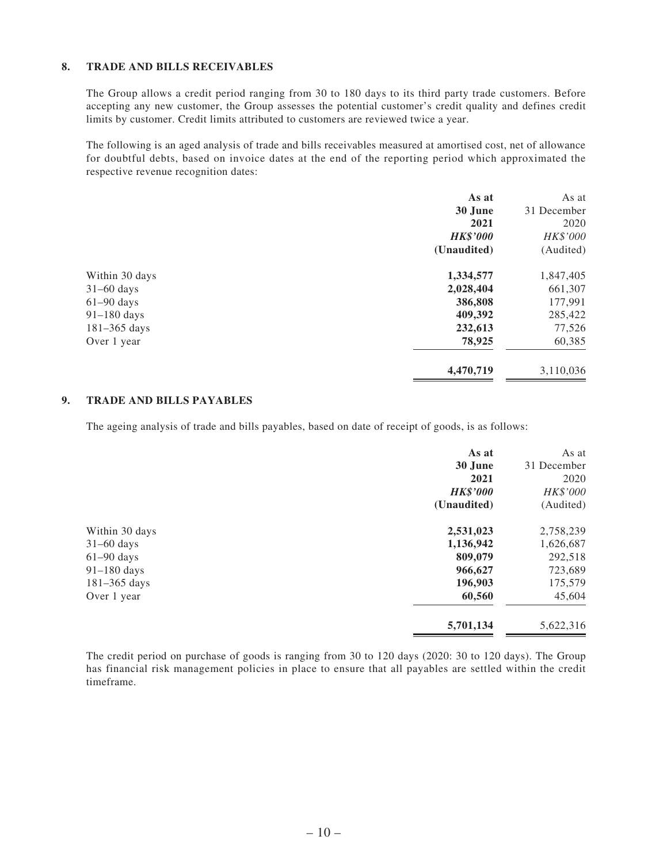#### **8. TRADE AND BILLS RECEIVABLES**

The Group allows a credit period ranging from 30 to 180 days to its third party trade customers. Before accepting any new customer, the Group assesses the potential customer's credit quality and defines credit limits by customer. Credit limits attributed to customers are reviewed twice a year.

The following is an aged analysis of trade and bills receivables measured at amortised cost, net of allowance for doubtful debts, based on invoice dates at the end of the reporting period which approximated the respective revenue recognition dates:

| As at           | As at       |
|-----------------|-------------|
| 30 June         | 31 December |
| 2021            | 2020        |
| <b>HK\$'000</b> | HK\$'000    |
| (Unaudited)     | (Audited)   |
| 1,334,577       | 1,847,405   |
| 2,028,404       | 661,307     |
| 386,808         | 177,991     |
| 409,392         | 285,422     |
| 232,613         | 77,526      |
| 78,925          | 60,385      |
| 4,470,719       | 3,110,036   |
|                 |             |

#### **9. TRADE AND BILLS PAYABLES**

The ageing analysis of trade and bills payables, based on date of receipt of goods, is as follows:

|                  | As at           | As at       |
|------------------|-----------------|-------------|
|                  | 30 June         | 31 December |
|                  | 2021            | 2020        |
|                  | <b>HK\$'000</b> | HK\$'000    |
|                  | (Unaudited)     | (Audited)   |
| Within 30 days   | 2,531,023       | 2,758,239   |
| $31-60$ days     | 1,136,942       | 1,626,687   |
| $61-90$ days     | 809,079         | 292,518     |
| $91-180$ days    | 966,627         | 723,689     |
| $181 - 365$ days | 196,903         | 175,579     |
| Over 1 year      | 60,560          | 45,604      |
|                  | 5,701,134       | 5,622,316   |

The credit period on purchase of goods is ranging from 30 to 120 days (2020: 30 to 120 days). The Group has financial risk management policies in place to ensure that all payables are settled within the credit timeframe.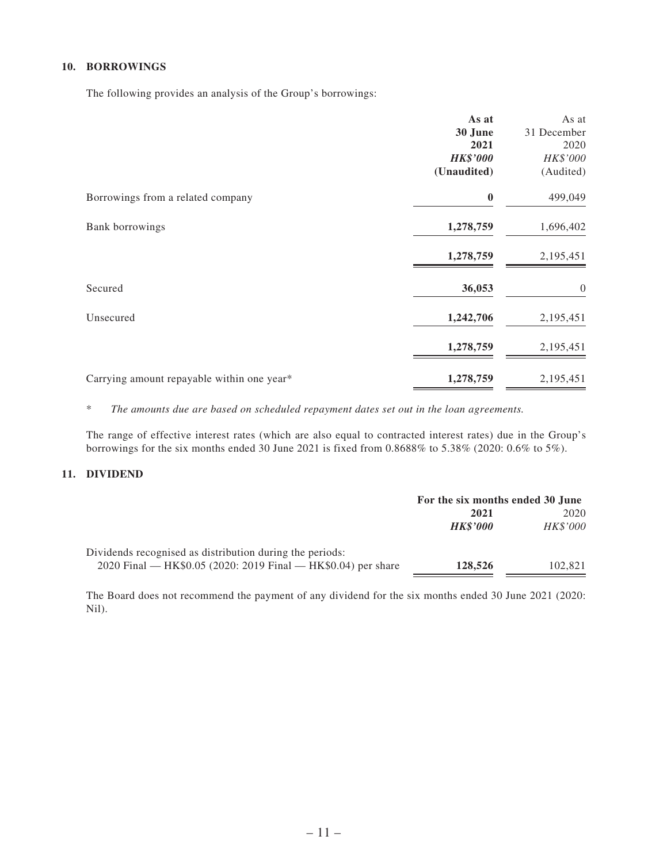#### **10. BORROWINGS**

The following provides an analysis of the Group's borrowings:

|                                            | As at            | As at            |
|--------------------------------------------|------------------|------------------|
|                                            | 30 June          | 31 December      |
|                                            | 2021             | 2020             |
|                                            | <b>HK\$'000</b>  | HK\$'000         |
|                                            | (Unaudited)      | (Audited)        |
| Borrowings from a related company          | $\boldsymbol{0}$ | 499,049          |
| <b>Bank borrowings</b>                     | 1,278,759        | 1,696,402        |
|                                            | 1,278,759        | 2,195,451        |
| Secured                                    | 36,053           | $\boldsymbol{0}$ |
| Unsecured                                  | 1,242,706        | 2,195,451        |
|                                            | 1,278,759        | 2,195,451        |
| Carrying amount repayable within one year* | 1,278,759        | 2,195,451        |

\* *The amounts due are based on scheduled repayment dates set out in the loan agreements.*

The range of effective interest rates (which are also equal to contracted interest rates) due in the Group's borrowings for the six months ended 30 June 2021 is fixed from 0.8688% to 5.38% (2020: 0.6% to 5%).

#### **11. DIVIDEND**

|                                                               | For the six months ended 30 June |                 |
|---------------------------------------------------------------|----------------------------------|-----------------|
|                                                               | 2021                             | 2020            |
|                                                               | <b>HK\$'000</b>                  | <b>HK\$'000</b> |
| Dividends recognised as distribution during the periods:      |                                  |                 |
| 2020 Final — HK\$0.05 (2020: 2019 Final — HK\$0.04) per share | 128,526                          | 102.821         |

The Board does not recommend the payment of any dividend for the six months ended 30 June 2021 (2020: Nil).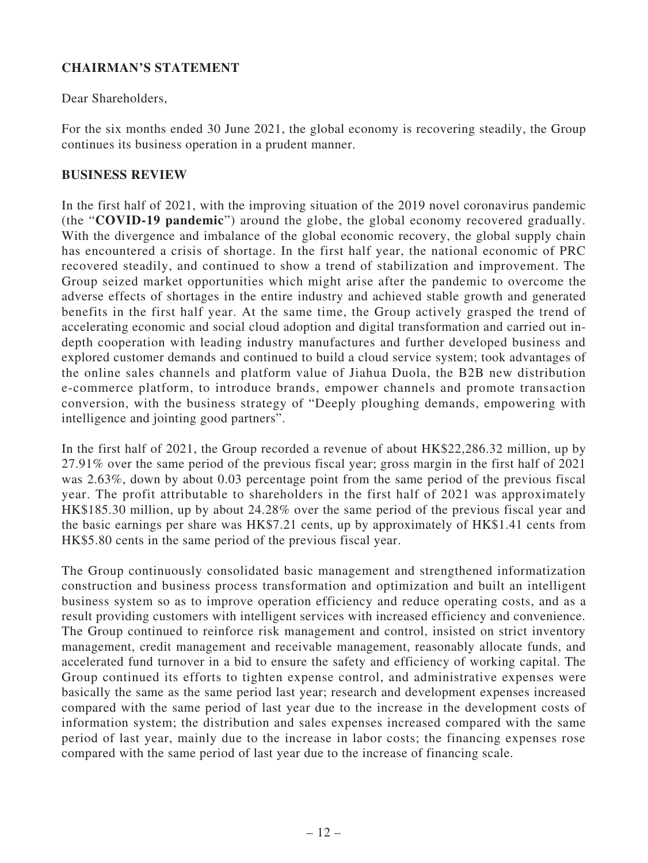# **CHAIRMAN'S STATEMENT**

Dear Shareholders,

For the six months ended 30 June 2021, the global economy is recovering steadily, the Group continues its business operation in a prudent manner.

### **BUSINESS REVIEW**

In the first half of 2021, with the improving situation of the 2019 novel coronavirus pandemic (the "**COVID-19 pandemic**") around the globe, the global economy recovered gradually. With the divergence and imbalance of the global economic recovery, the global supply chain has encountered a crisis of shortage. In the first half year, the national economic of PRC recovered steadily, and continued to show a trend of stabilization and improvement. The Group seized market opportunities which might arise after the pandemic to overcome the adverse effects of shortages in the entire industry and achieved stable growth and generated benefits in the first half year. At the same time, the Group actively grasped the trend of accelerating economic and social cloud adoption and digital transformation and carried out indepth cooperation with leading industry manufactures and further developed business and explored customer demands and continued to build a cloud service system; took advantages of the online sales channels and platform value of Jiahua Duola, the B2B new distribution e-commerce platform, to introduce brands, empower channels and promote transaction conversion, with the business strategy of "Deeply ploughing demands, empowering with intelligence and jointing good partners".

In the first half of 2021, the Group recorded a revenue of about HK\$22,286.32 million, up by 27.91% over the same period of the previous fiscal year; gross margin in the first half of 2021 was 2.63%, down by about 0.03 percentage point from the same period of the previous fiscal year. The profit attributable to shareholders in the first half of 2021 was approximately HK\$185.30 million, up by about 24.28% over the same period of the previous fiscal year and the basic earnings per share was HK\$7.21 cents, up by approximately of HK\$1.41 cents from HK\$5.80 cents in the same period of the previous fiscal year.

The Group continuously consolidated basic management and strengthened informatization construction and business process transformation and optimization and built an intelligent business system so as to improve operation efficiency and reduce operating costs, and as a result providing customers with intelligent services with increased efficiency and convenience. The Group continued to reinforce risk management and control, insisted on strict inventory management, credit management and receivable management, reasonably allocate funds, and accelerated fund turnover in a bid to ensure the safety and efficiency of working capital. The Group continued its efforts to tighten expense control, and administrative expenses were basically the same as the same period last year; research and development expenses increased compared with the same period of last year due to the increase in the development costs of information system; the distribution and sales expenses increased compared with the same period of last year, mainly due to the increase in labor costs; the financing expenses rose compared with the same period of last year due to the increase of financing scale.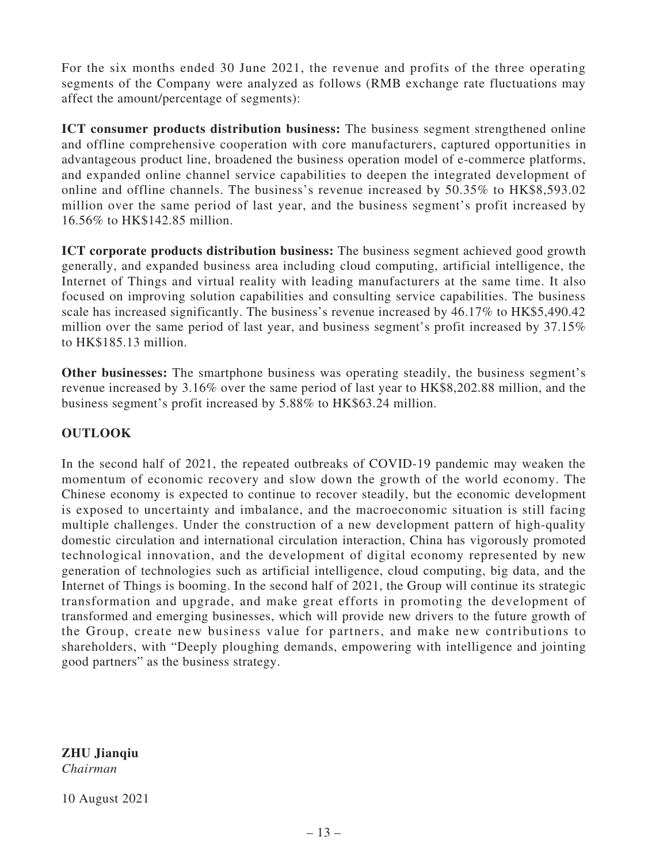For the six months ended 30 June 2021, the revenue and profits of the three operating segments of the Company were analyzed as follows (RMB exchange rate fluctuations may affect the amount/percentage of segments):

**ICT consumer products distribution business:** The business segment strengthened online and offline comprehensive cooperation with core manufacturers, captured opportunities in advantageous product line, broadened the business operation model of e-commerce platforms, and expanded online channel service capabilities to deepen the integrated development of online and offline channels. The business's revenue increased by 50.35% to HK\$8,593.02 million over the same period of last year, and the business segment's profit increased by 16.56% to HK\$142.85 million.

**ICT corporate products distribution business:** The business segment achieved good growth generally, and expanded business area including cloud computing, artificial intelligence, the Internet of Things and virtual reality with leading manufacturers at the same time. It also focused on improving solution capabilities and consulting service capabilities. The business scale has increased significantly. The business's revenue increased by 46.17% to HK\$5,490.42 million over the same period of last year, and business segment's profit increased by 37.15% to HK\$185.13 million.

**Other businesses:** The smartphone business was operating steadily, the business segment's revenue increased by 3.16% over the same period of last year to HK\$8,202.88 million, and the business segment's profit increased by 5.88% to HK\$63.24 million.

# **OUTLOOK**

In the second half of 2021, the repeated outbreaks of COVID-19 pandemic may weaken the momentum of economic recovery and slow down the growth of the world economy. The Chinese economy is expected to continue to recover steadily, but the economic development is exposed to uncertainty and imbalance, and the macroeconomic situation is still facing multiple challenges. Under the construction of a new development pattern of high-quality domestic circulation and international circulation interaction, China has vigorously promoted technological innovation, and the development of digital economy represented by new generation of technologies such as artificial intelligence, cloud computing, big data, and the Internet of Things is booming. In the second half of 2021, the Group will continue its strategic transformation and upgrade, and make great efforts in promoting the development of transformed and emerging businesses, which will provide new drivers to the future growth of the Group, create new business value for partners, and make new contributions to shareholders, with "Deeply ploughing demands, empowering with intelligence and jointing good partners" as the business strategy.

**ZHU Jianqiu** *Chairman*

10 August 2021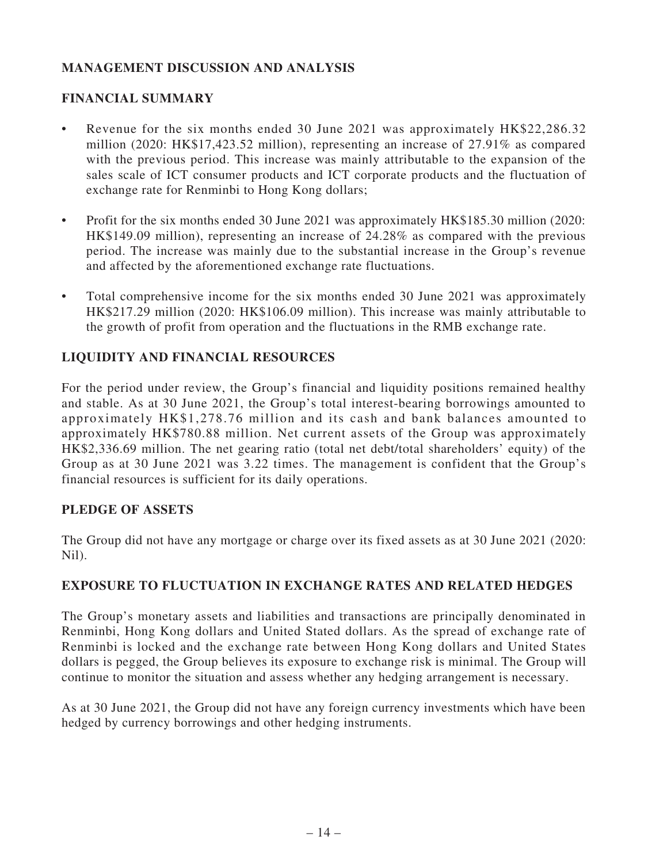# **MANAGEMENT DISCUSSION AND ANALYSIS**

# **FINANCIAL SUMMARY**

- Revenue for the six months ended 30 June 2021 was approximately  $HK$22,286.32$ million (2020: HK\$17,423.52 million), representing an increase of 27.91% as compared with the previous period. This increase was mainly attributable to the expansion of the sales scale of ICT consumer products and ICT corporate products and the fluctuation of exchange rate for Renminbi to Hong Kong dollars;
- Profit for the six months ended 30 June 2021 was approximately HK\$185.30 million (2020: HK\$149.09 million), representing an increase of 24.28% as compared with the previous period. The increase was mainly due to the substantial increase in the Group's revenue and affected by the aforementioned exchange rate fluctuations.
- Total comprehensive income for the six months ended 30 June 2021 was approximately HK\$217.29 million (2020: HK\$106.09 million). This increase was mainly attributable to the growth of profit from operation and the fluctuations in the RMB exchange rate.

# **LIQUIDITY AND FINANCIAL RESOURCES**

For the period under review, the Group's financial and liquidity positions remained healthy and stable. As at 30 June 2021, the Group's total interest-bearing borrowings amounted to approximately HK\$1,278.76 million and its cash and bank balances amounted to approximately HK\$780.88 million. Net current assets of the Group was approximately HK\$2,336.69 million. The net gearing ratio (total net debt/total shareholders' equity) of the Group as at 30 June 2021 was 3.22 times. The management is confident that the Group's financial resources is sufficient for its daily operations.

### **PLEDGE OF ASSETS**

The Group did not have any mortgage or charge over its fixed assets as at 30 June 2021 (2020: Nil).

### **EXPOSURE TO FLUCTUATION IN EXCHANGE RATES AND RELATED HEDGES**

The Group's monetary assets and liabilities and transactions are principally denominated in Renminbi, Hong Kong dollars and United Stated dollars. As the spread of exchange rate of Renminbi is locked and the exchange rate between Hong Kong dollars and United States dollars is pegged, the Group believes its exposure to exchange risk is minimal. The Group will continue to monitor the situation and assess whether any hedging arrangement is necessary.

As at 30 June 2021, the Group did not have any foreign currency investments which have been hedged by currency borrowings and other hedging instruments.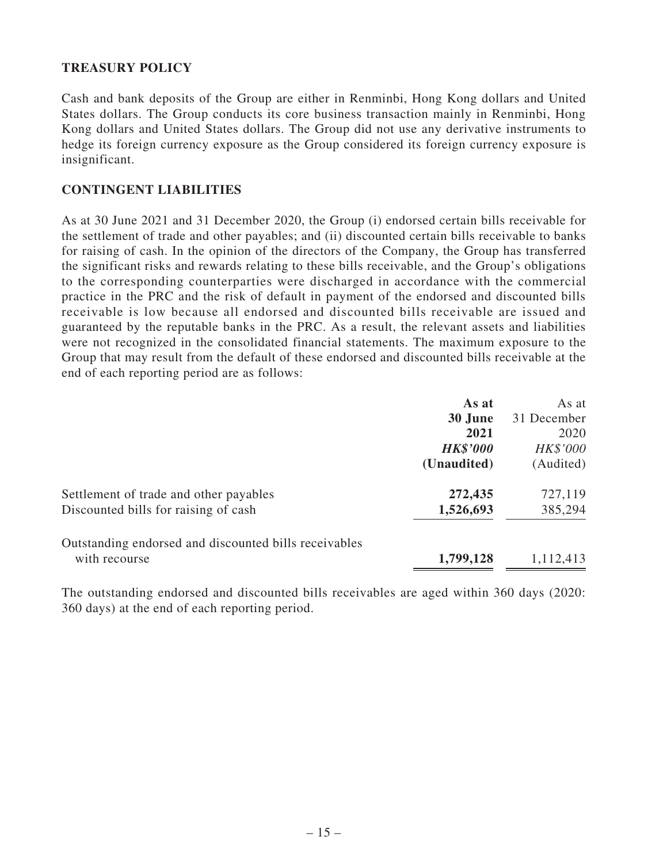### **TREASURY POLICY**

Cash and bank deposits of the Group are either in Renminbi, Hong Kong dollars and United States dollars. The Group conducts its core business transaction mainly in Renminbi, Hong Kong dollars and United States dollars. The Group did not use any derivative instruments to hedge its foreign currency exposure as the Group considered its foreign currency exposure is insignificant.

### **CONTINGENT LIABILITIES**

As at 30 June 2021 and 31 December 2020, the Group (i) endorsed certain bills receivable for the settlement of trade and other payables; and (ii) discounted certain bills receivable to banks for raising of cash. In the opinion of the directors of the Company, the Group has transferred the significant risks and rewards relating to these bills receivable, and the Group's obligations to the corresponding counterparties were discharged in accordance with the commercial practice in the PRC and the risk of default in payment of the endorsed and discounted bills receivable is low because all endorsed and discounted bills receivable are issued and guaranteed by the reputable banks in the PRC. As a result, the relevant assets and liabilities were not recognized in the consolidated financial statements. The maximum exposure to the Group that may result from the default of these endorsed and discounted bills receivable at the end of each reporting period are as follows:

|                                                       | As at           | As at       |
|-------------------------------------------------------|-----------------|-------------|
|                                                       | 30 June         | 31 December |
|                                                       | 2021            | 2020        |
|                                                       | <b>HK\$'000</b> | HK\$'000    |
|                                                       | (Unaudited)     | (Audited)   |
| Settlement of trade and other payables                | 272,435         | 727,119     |
| Discounted bills for raising of cash                  | 1,526,693       | 385,294     |
| Outstanding endorsed and discounted bills receivables |                 |             |
| with recourse                                         | 1,799,128       | 1,112,413   |

The outstanding endorsed and discounted bills receivables are aged within 360 days (2020: 360 days) at the end of each reporting period.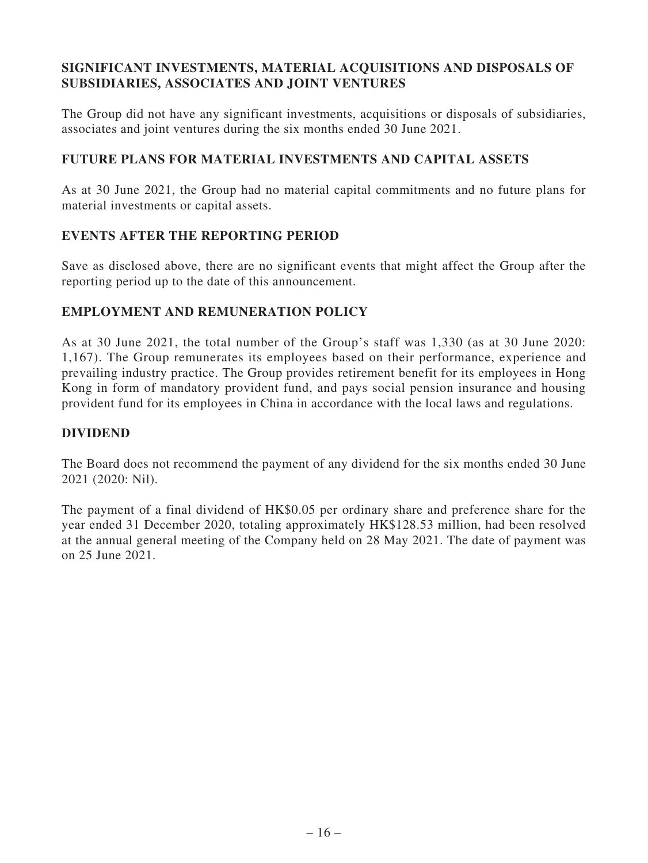# **SIGNIFICANT INVESTMENTS, MATERIAL ACQUISITIONS AND DISPOSALS OF SUBSIDIARIES, ASSOCIATES AND JOINT VENTURES**

The Group did not have any significant investments, acquisitions or disposals of subsidiaries, associates and joint ventures during the six months ended 30 June 2021.

# **FUTURE PLANS FOR MATERIAL INVESTMENTS AND CAPITAL ASSETS**

As at 30 June 2021, the Group had no material capital commitments and no future plans for material investments or capital assets.

# **EVENTS AFTER THE REPORTING PERIOD**

Save as disclosed above, there are no significant events that might affect the Group after the reporting period up to the date of this announcement.

# **EMPLOYMENT AND REMUNERATION POLICY**

As at 30 June 2021, the total number of the Group's staff was 1,330 (as at 30 June 2020: 1,167). The Group remunerates its employees based on their performance, experience and prevailing industry practice. The Group provides retirement benefit for its employees in Hong Kong in form of mandatory provident fund, and pays social pension insurance and housing provident fund for its employees in China in accordance with the local laws and regulations.

### **DIVIDEND**

The Board does not recommend the payment of any dividend for the six months ended 30 June 2021 (2020: Nil).

The payment of a final dividend of HK\$0.05 per ordinary share and preference share for the year ended 31 December 2020, totaling approximately HK\$128.53 million, had been resolved at the annual general meeting of the Company held on 28 May 2021. The date of payment was on 25 June 2021.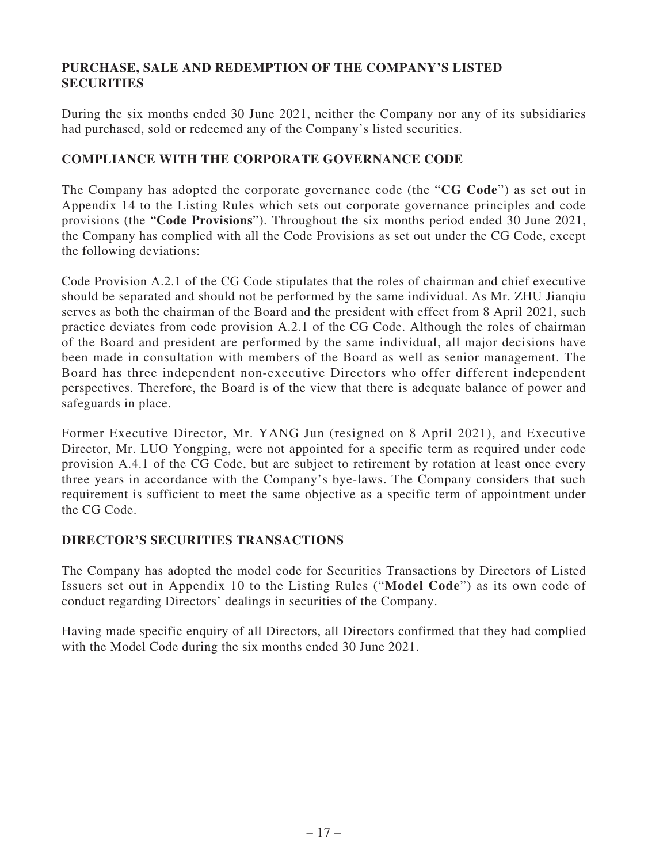# **PURCHASE, SALE AND REDEMPTION OF THE COMPANY'S LISTED SECURITIES**

During the six months ended 30 June 2021, neither the Company nor any of its subsidiaries had purchased, sold or redeemed any of the Company's listed securities.

# **COMPLIANCE WITH THE CORPORATE GOVERNANCE CODE**

The Company has adopted the corporate governance code (the "**CG Code**") as set out in Appendix 14 to the Listing Rules which sets out corporate governance principles and code provisions (the "**Code Provisions**"). Throughout the six months period ended 30 June 2021, the Company has complied with all the Code Provisions as set out under the CG Code, except the following deviations:

Code Provision A.2.1 of the CG Code stipulates that the roles of chairman and chief executive should be separated and should not be performed by the same individual. As Mr. ZHU Jianqiu serves as both the chairman of the Board and the president with effect from 8 April 2021, such practice deviates from code provision A.2.1 of the CG Code. Although the roles of chairman of the Board and president are performed by the same individual, all major decisions have been made in consultation with members of the Board as well as senior management. The Board has three independent non-executive Directors who offer different independent perspectives. Therefore, the Board is of the view that there is adequate balance of power and safeguards in place.

Former Executive Director, Mr. YANG Jun (resigned on 8 April 2021), and Executive Director, Mr. LUO Yongping, were not appointed for a specific term as required under code provision A.4.1 of the CG Code, but are subject to retirement by rotation at least once every three years in accordance with the Company's bye-laws. The Company considers that such requirement is sufficient to meet the same objective as a specific term of appointment under the CG Code.

### **DIRECTOR'S SECURITIES TRANSACTIONS**

The Company has adopted the model code for Securities Transactions by Directors of Listed Issuers set out in Appendix 10 to the Listing Rules ("**Model Code**") as its own code of conduct regarding Directors' dealings in securities of the Company.

Having made specific enquiry of all Directors, all Directors confirmed that they had complied with the Model Code during the six months ended 30 June 2021.